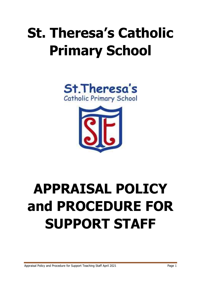# **St. Theresa's Catholic Primary School**





# **APPRAISAL POLICY and PROCEDURE FOR SUPPORT STAFF**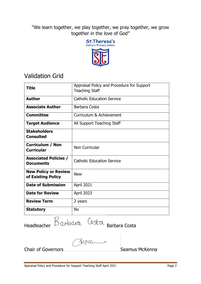"We learn together, we play together, we pray together, we grow together in the love of God"



# Validation Grid

| <b>Title</b>                 | Appraisal Policy and Procedure for Support |
|------------------------------|--------------------------------------------|
|                              | <b>Teaching Staff</b>                      |
|                              |                                            |
| <b>Author</b>                | <b>Catholic Education Service</b>          |
|                              |                                            |
| <b>Associate Author</b>      | Barbara Costa                              |
| <b>Committee</b>             | Curriculum & Achievement                   |
| <b>Target Audience</b>       | All Support Teaching Staff                 |
| <b>Stakeholders</b>          |                                            |
| <b>Consulted</b>             |                                            |
|                              |                                            |
| <b>Curriculum / Non</b>      | Non Curricular                             |
| <b>Curricular</b>            |                                            |
|                              |                                            |
| <b>Associated Policies /</b> | <b>Catholic Education Service</b>          |
| <b>Documents</b>             |                                            |
| <b>New Policy or Review</b>  | <b>New</b>                                 |
| of Existing Policy           |                                            |
|                              |                                            |
| <b>Date of Submission</b>    | April 2021                                 |
| <b>Date for Review</b>       | <b>April 2023</b>                          |
| <b>Review Term</b>           | 2 years                                    |
|                              |                                            |
| <b>Statutory</b>             | <b>No</b>                                  |
|                              |                                            |

Headteacher Barbara Costa Barbara Costa

Chair of Governors **Seamus McKenna**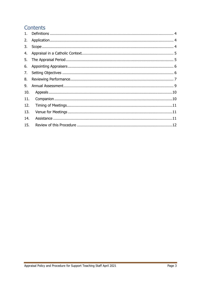# **Contents**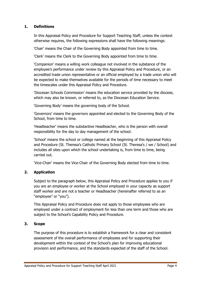# <span id="page-3-0"></span>**1. Definitions**

In this Appraisal Policy and Procedure for Support Teaching Staff, unless the context otherwise requires, the following expressions shall have the following meanings:

'Chair' means the Chair of the Governing Body appointed from time to time.

'Clerk' means the Clerk to the Governing Body appointed from time to time.

'Companion' means a willing work colleague not involved in the substance of the employee's performance under review by this Appraisal Policy and Procedure, or an accredited trade union representative or an official employed by a trade union who will be expected to make themselves available for the periods of time necessary to meet the timescales under this Appraisal Policy and Procedure.

'Diocesan Schools Commission' means the education service provided by the diocese, which may also be known, or referred to, as the Diocesan Education Service.

'Governing Body' means the governing body of the School.

'Governors' means the governors appointed and elected to the Governing Body of the School, from time to time.

'Headteacher' means the substantive Headteacher, who is the person with overall responsibility for the day to day management of the school.

'School' means the school or college named at the beginning of this Appraisal Policy and Procedure (St. Theresa's Catholic Primary School (St. Theresa's / we / School) and includes all sites upon which the school undertaking is, from time to time, being carried out.

'Vice-Chair' means the Vice-Chair of the Governing Body elected from time to time.

# <span id="page-3-1"></span>**2. Application**

Subject to the paragraph below, this Appraisal Policy and Procedure applies to you if you are an employee or worker at the School employed in your capacity as support staff worker and are not a teacher or Headteacher (hereinafter referred to as an "employee" or "you").

This Appraisal Policy and Procedure does not apply to those employees who are employed under a contract of employment for less than one term and those who are subject to the School's Capability Policy and Procedure.

# <span id="page-3-2"></span>**3. Scope**

The purpose of this procedure is to establish a framework for a clear and consistent assessment of the overall performance of employees and for supporting their development within the context of the School's plan for improving educational provision and performance, and the standards expected of the staff of the School.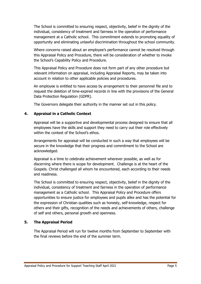The School is committed to ensuring respect, objectivity, belief in the dignity of the individual, consistency of treatment and fairness in the operation of performance management at a Catholic school. This commitment extends to promoting equality of opportunity and eliminating unlawful discrimination throughout the school community.

Where concerns raised about an employee's performance cannot be resolved through this Appraisal Policy and Procedure, there will be consideration of whether to invoke the School's Capability Policy and Procedure.

This Appraisal Policy and Procedure does not form part of any other procedure but relevant information on appraisal, including Appraisal Reports, may be taken into account in relation to other applicable policies and procedures.

An employee is entitled to have access by arrangement to their personnel file and to request the deletion of time-expired records in line with the provisions of the General Data Protection Regulation (GDPR).

The Governors delegate their authority in the manner set out in this policy.

# <span id="page-4-0"></span>**4. Appraisal in a Catholic Context**

Appraisal will be a supportive and developmental process designed to ensure that all employees have the skills and support they need to carry out their role effectively within the context of the School's ethos.

Arrangements for appraisal will be conducted in such a way that employees will be secure in the knowledge that their progress and commitment to the School are acknowledged.

Appraisal is a time to celebrate achievement wherever possible, as well as for discerning where there is scope for development. Challenge is at the heart of the Gospels. Christ challenged all whom he encountered, each according to their needs and readiness.

The School is committed to ensuring respect, objectivity, belief in the dignity of the individual, consistency of treatment and fairness in the operation of performance management as a Catholic school. This Appraisal Policy and Procedure offers opportunities to ensure justice for employees and pupils alike and has the potential for the expression of Christian qualities such as honesty, self-knowledge, respect for others and their gifts, recognition of the needs and achievements of others, challenge of self and others, personal growth and openness.

# <span id="page-4-1"></span>**5. The Appraisal Period**

The Appraisal Period will run for twelve months from September to September with the final reviews before the end of the summer term.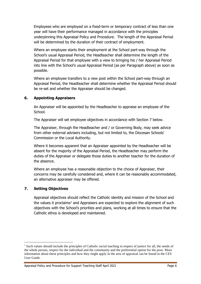Employees who are employed on a fixed-term or temporary contract of less than one year will have their performance managed in accordance with the principles underpinning this Appraisal Policy and Procedure. The length of the Appraisal Period will be determined by the duration of their contract of employment.

Where an employee starts their employment at the School part-way through the School's usual Appraisal Period, the Headteacher shall determine the length of the Appraisal Period for that employee with a view to bringing his / her Appraisal Period into line with the School's usual Appraisal Period (as per Paragraph above) as soon as possible.

Where an employee transfers to a new post within the School part-way through an Appraisal Period, the Headteacher shall determine whether the Appraisal Period should be re-set and whether the Appraiser should be changed.

### <span id="page-5-0"></span>**6. Appointing Appraisers**

An Appraiser will be appointed by the Headteacher to appraise an employee of the School.

The Appraiser will set employee objectives in accordance with Section 7 below.

The Appraiser, through the Headteacher and / or Governing Body, may seek advice from other external advisers including, but not limited to, the Diocesan Schools' Commission or the Local Authority.

Where it becomes apparent that an Appraiser appointed by the Headteacher will be absent for the majority of the Appraisal Period, the Headteacher may perform the duties of the Appraiser or delegate those duties to another teacher for the duration of the absence.

Where an employee has a reasonable objection to the choice of Appraiser, their concerns may be carefully considered and, where it can be reasonably accommodated, an alternative appraiser may be offered.

# <span id="page-5-1"></span>**7. Setting Objectives**

-

Appraisal objectives should reflect the Catholic identity and mission of the School and the values it proclaims<sup>1</sup> and Appraisers are expected to explore the alignment of such objectives with the School's priorities and plans, working at all times to ensure that the Catholic ethos is developed and maintained.

Appraisal Policy and Procedure for Support Teaching Staff April 2021 **Page 6** 

<sup>&</sup>lt;sup>1</sup> Such values should include the principles of Catholic social teaching in respect of justice for all, the needs of the whole person, respect for the individual and the community and the preferential option for the poor. More information about these principles and how they might apply in the area of appraisal can be found in the CES User Guide.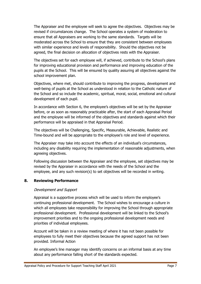The Appraiser and the employee will seek to agree the objectives. Objectives may be revised if circumstances change. The School operates a system of moderation to ensure that all Appraisers are working to the same standards. Targets will be moderated across the School to ensure that they are consistent between employees with similar experience and levels of responsibility. Should the objectives not be agreed, the final decision on allocation of objectives rests with the Appraiser.

The objectives set for each employee will, if achieved, contribute to the School's plans for improving educational provision and performance and improving education of the pupils at the School. This will be ensured by quality assuring all objectives against the school improvement plan.

Objectives, where met, should contribute to improving the progress, development and well-being of pupils at the School as understood in relation to the Catholic nature of the School and so include the academic, spiritual, moral, social, emotional and cultural development of each pupil.

In accordance with Section 6, the employee's objectives will be set by the Appraiser before, or as soon as reasonably practicable after, the start of each Appraisal Period and the employee will be informed of the objectives and standards against which their performance will be appraised in that Appraisal Period.

The objectives will be Challenging, Specific, Measurable, Achievable, Realistic and Time-bound and will be appropriate to the employee's role and level of experience.

The Appraiser may take into account the effects of an individual's circumstances, including any disability requiring the implementation of reasonable adjustments, when agreeing objectives.

Following discussion between the Appraiser and the employee, set objectives may be revised by the Appraiser in accordance with the needs of the School and the employee, and any such revision(s) to set objectives will be recorded in writing.

#### <span id="page-6-0"></span>**8. Reviewing Performance**

#### Development and Support

Appraisal is a supportive process which will be used to inform the employee's continuing professional development. The School wishes to encourage a culture in which all employees take responsibility for improving the School through appropriate professional development. Professional development will be linked to the School's improvement priorities and to the ongoing professional development needs and priorities of individual employees.

Account will be taken in a review meeting of where it has not been possible for employees to fully meet their objectives because the agreed support has not been provided. Informal Action

An employee's line manager may identify concerns on an informal basis at any time about any performance falling short of the standards expected.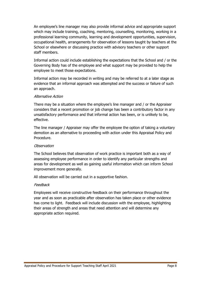An employee's line manager may also provide informal advice and appropriate support which may include training, coaching, mentoring, counselling, monitoring, working in a professional learning community, learning and development opportunities, supervision, occupational health, arrangements for observation of lessons taught by teachers at the School or elsewhere or discussing practice with advisory teachers or other support staff members.

Informal action could include establishing the expectations that the School and / or the Governing Body has of the employee and what support may be provided to help the employee to meet those expectations.

Informal action may be recorded in writing and may be referred to at a later stage as evidence that an informal approach was attempted and the success or failure of such an approach.

#### Alternative Action

There may be a situation where the employee's line manager and / or the Appraiser considers that a recent promotion or job change has been a contributory factor in any unsatisfactory performance and that informal action has been, or is unlikely to be, effective.

The line manager / Appraiser may offer the employee the option of taking a voluntary demotion as an alternative to proceeding with action under this Appraisal Policy and Procedure.

#### **Observation**

The School believes that observation of work practice is important both as a way of assessing employee performance in order to identify any particular strengths and areas for development as well as gaining useful information which can inform School improvement more generally.

All observation will be carried out in a supportive fashion.

#### Feedback

Employees will receive constructive feedback on their performance throughout the year and as soon as practicable after observation has taken place or other evidence has come to light. Feedback will include discussion with the employee, highlighting their areas of strength and areas that need attention and will determine any appropriate action required.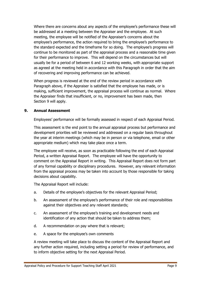Where there are concerns about any aspects of the employee's performance these will be addressed at a meeting between the Appraiser and the employee. At such meeting, the employee will be notified of the Appraiser's concerns about the employee's performance, the action required to bring the employee's performance to the standard expected and the timeframe for so doing. The employee's progress will continue to be monitored as part of the appraisal process and a reasonable time given for their performance to improve. This will depend on the circumstances but will usually be for a period of between 6 and 12 working weeks, with appropriate support as agreed at the meeting held in accordance with this Paragraph in order that the aim of recovering and improving performance can be achieved.

When progress is reviewed at the end of the review period in accordance with Paragraph above, if the Appraiser is satisfied that the employee has made, or is making, sufficient improvement, the appraisal process will continue as normal. Where the Appraiser finds that insufficient, or no, improvement has been made, then Section 9 will apply.

#### <span id="page-8-0"></span>**9. Annual Assessment**

Employees' performance will be formally assessed in respect of each Appraisal Period.

This assessment is the end point to the annual appraisal process but performance and development priorities will be reviewed and addressed on a regular basis throughout the year at interim meetings (which may be in person or via telephone, email or other appropriate medium) which may take place once a term.

The employee will receive, as soon as practicable following the end of each Appraisal Period, a written Appraisal Report. The employee will have the opportunity to comment on the Appraisal Report in writing. This Appraisal Report does not form part of any formal capability or disciplinary procedures. However, any relevant information from the appraisal process may be taken into account by those responsible for taking decisions about capability.

The Appraisal Report will include:

- a. Details of the employee's objectives for the relevant Appraisal Period;
- b. An assessment of the employee's performance of their role and responsibilities against their objectives and any relevant standards;
- c. An assessment of the employee's training and development needs and identification of any action that should be taken to address them;
- d. A recommendation on pay where that is relevant;
- e. A space for the employee's own comments

A review meeting will take place to discuss the content of the Appraisal Report and any further action required, including setting a period for review of performance, and to inform objective setting for the next Appraisal Period.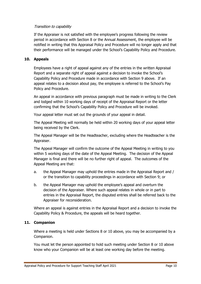#### Transition to capability

If the Appraiser is not satisfied with the employee's progress following the review period in accordance with Section 8 or the Annual Assessment, the employee will be notified in writing that this Appraisal Policy and Procedure will no longer apply and that their performance will be managed under the School's Capability Policy and Procedure.

#### <span id="page-9-0"></span>**10. Appeals**

Employees have a right of appeal against any of the entries in the written Appraisal Report and a separate right of appeal against a decision to invoke the School's Capability Policy and Procedure made in accordance with Section 9 above. If an appeal relates to a decision about pay, the employee is referred to the School's Pay Policy and Procedure.

An appeal in accordance with previous paragraph must be made in writing to the Clerk and lodged within 10 working days of receipt of the Appraisal Report or the letter confirming that the School's Capability Policy and Procedure will be invoked.

Your appeal letter must set out the grounds of your appeal in detail.

The Appeal Meeting will normally be held within 20 working days of your appeal letter being received by the Clerk.

The Appeal Manager will be the Headteacher, excluding where the Headteacher is the Appraiser.

The Appeal Manager will confirm the outcome of the Appeal Meeting in writing to you within 5 working days of the date of the Appeal Meeting. The decision of the Appeal Manager is final and there will be no further right of appeal. The outcomes of the Appeal Meeting are that:

- a. the Appeal Manager may uphold the entries made in the Appraisal Report and / or the transition to capability proceedings in accordance with Section 9; or
- b. the Appeal Manager may uphold the employee's appeal and overturn the decision of the Appraiser. Where such appeal relates in whole or in part to entries in the Appraisal Report, the disputed entries shall be referred back to the Appraiser for reconsideration.

Where an appeal is against entries in the Appraisal Report and a decision to invoke the Capability Policy & Procedure, the appeals will be heard together.

#### <span id="page-9-1"></span>**11. Companion**

Where a meeting is held under Sections 8 or 10 above, you may be accompanied by a Companion.

You must let the person appointed to hold such meeting under Section 8 or 10 above know who your Companion will be at least one working day before the meeting.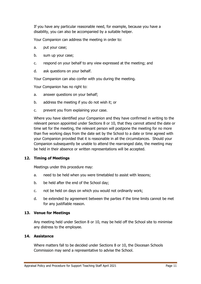If you have any particular reasonable need, for example, because you have a disability, you can also be accompanied by a suitable helper.

Your Companion can address the meeting in order to:

- a. put your case;
- b. sum up your case;
- c. respond on your behalf to any view expressed at the meeting; and
- d. ask questions on your behalf.

Your Companion can also confer with you during the meeting.

Your Companion has no right to:

- a. answer questions on your behalf;
- b. address the meeting if you do not wish it; or
- c. prevent you from explaining your case.

Where you have identified your Companion and they have confirmed in writing to the relevant person appointed under Sections 8 or 10, that they cannot attend the date or time set for the meeting, the relevant person will postpone the meeting for no more than five working days from the date set by the School to a date or time agreed with your Companion provided that it is reasonable in all the circumstances. Should your Companion subsequently be unable to attend the rearranged date, the meeting may be held in their absence or written representations will be accepted.

#### <span id="page-10-0"></span>**12. Timing of Meetings**

Meetings under this procedure may:

- a. need to be held when you were timetabled to assist with lessons;
- b. be held after the end of the School day;
- c. not be held on days on which you would not ordinarily work;
- d. be extended by agreement between the parties if the time limits cannot be met for any justifiable reason.

#### <span id="page-10-1"></span>**13. Venue for Meetings**

Any meeting held under Section 8 or 10, may be held off the School site to minimise any distress to the employee.

#### <span id="page-10-2"></span>**14. Assistance**

Where matters fall to be decided under Sections 8 or 10, the Diocesan Schools Commission may send a representative to advise the School.